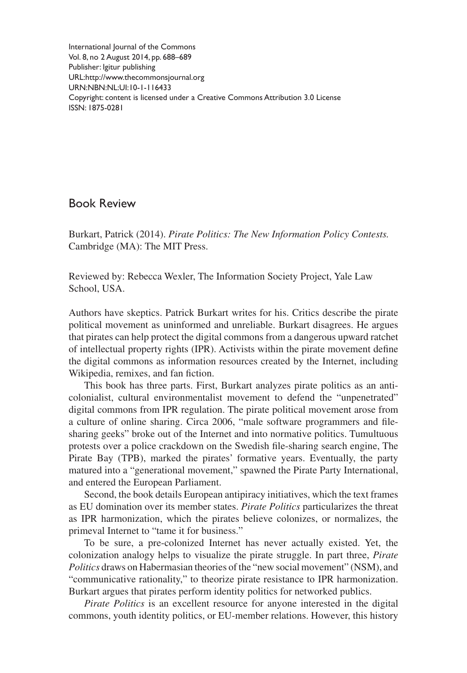International Journal of the Commons Vol. 8, no 2 August 2014, pp. 688–689 Publisher: Igitur publishing URL[:http://www.thecommonsjournal.org](http://www.thecommonsjournal.org) URN:NBN:NL:UI:10-1-116433 Copyright: content is licensed under a Creative Commons Attribution 3.0 License ISSN: 1875-0281

Book Review

Burkart, Patrick (2014). *Pirate Politics: The New Information Policy Contests.* Cambridge (MA): The MIT Press.

Reviewed by: Rebecca Wexler, The Information Society Project, Yale Law School, USA.

Authors have skeptics. Patrick Burkart writes for his. Critics describe the pirate political movement as uninformed and unreliable. Burkart disagrees. He argues that pirates can help protect the digital commons from a dangerous upward ratchet of intellectual property rights (IPR). Activists within the pirate movement define the digital commons as information resources created by the Internet, including Wikipedia, remixes, and fan fiction.

This book has three parts. First, Burkart analyzes pirate politics as an anticolonialist, cultural environmentalist movement to defend the "unpenetrated" digital commons from IPR regulation. The pirate political movement arose from a culture of online sharing. Circa 2006, "male software programmers and filesharing geeks" broke out of the Internet and into normative politics. Tumultuous protests over a police crackdown on the Swedish file-sharing search engine, The Pirate Bay (TPB), marked the pirates' formative years. Eventually, the party matured into a "generational movement," spawned the Pirate Party International, and entered the European Parliament.

Second, the book details European antipiracy initiatives, which the text frames as EU domination over its member states. *Pirate Politics* particularizes the threat as IPR harmonization, which the pirates believe colonizes, or normalizes, the primeval Internet to "tame it for business."

To be sure, a pre-colonized Internet has never actually existed. Yet, the colonization analogy helps to visualize the pirate struggle. In part three, *Pirate Politics* draws on Habermasian theories of the "new social movement" (NSM), and "communicative rationality," to theorize pirate resistance to IPR harmonization. Burkart argues that pirates perform identity politics for networked publics.

*Pirate Politics* is an excellent resource for anyone interested in the digital commons, youth identity politics, or EU-member relations. However, this history